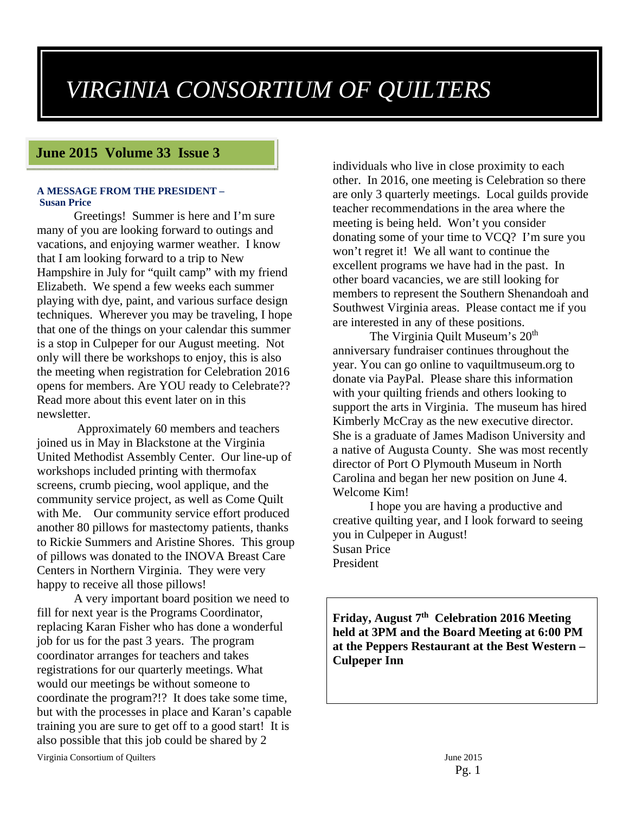# *VIRGINIA CONSORTIUM OF QUILTERS*

# **June 2015 Volume 33 Issue 3**

#### **A MESSAGE FROM THE PRESIDENT – Susan Price**

Greetings! Summer is here and I'm sure many of you are looking forward to outings and vacations, and enjoying warmer weather. I know that I am looking forward to a trip to New Hampshire in July for "quilt camp" with my friend Elizabeth. We spend a few weeks each summer playing with dye, paint, and various surface design techniques. Wherever you may be traveling, I hope that one of the things on your calendar this summer is a stop in Culpeper for our August meeting. Not only will there be workshops to enjoy, this is also the meeting when registration for Celebration 2016 opens for members. Are YOU ready to Celebrate?? Read more about this event later on in this newsletter.

 Approximately 60 members and teachers joined us in May in Blackstone at the Virginia United Methodist Assembly Center. Our line-up of workshops included printing with thermofax screens, crumb piecing, wool applique, and the community service project, as well as Come Quilt with Me. Our community service effort produced another 80 pillows for mastectomy patients, thanks to Rickie Summers and Aristine Shores. This group of pillows was donated to the INOVA Breast Care Centers in Northern Virginia. They were very happy to receive all those pillows!

A very important board position we need to fill for next year is the Programs Coordinator, replacing Karan Fisher who has done a wonderful job for us for the past 3 years. The program coordinator arranges for teachers and takes registrations for our quarterly meetings. What would our meetings be without someone to coordinate the program?!? It does take some time, but with the processes in place and Karan's capable training you are sure to get off to a good start! It is also possible that this job could be shared by 2

Virginia Consortium of Quilters June 2015

individuals who live in close proximity to each other. In 2016, one meeting is Celebration so there are only 3 quarterly meetings. Local guilds provide teacher recommendations in the area where the meeting is being held. Won't you consider donating some of your time to VCQ? I'm sure you won't regret it! We all want to continue the excellent programs we have had in the past. In other board vacancies, we are still looking for members to represent the Southern Shenandoah and Southwest Virginia areas. Please contact me if you are interested in any of these positions.

The Virginia Quilt Museum's  $20<sup>th</sup>$ anniversary fundraiser continues throughout the year. You can go online to vaquiltmuseum.org to donate via PayPal. Please share this information with your quilting friends and others looking to support the arts in Virginia. The museum has hired Kimberly McCray as the new executive director. She is a graduate of James Madison University and a native of Augusta County. She was most recently director of Port O Plymouth Museum in North Carolina and began her new position on June 4. Welcome Kim!

I hope you are having a productive and creative quilting year, and I look forward to seeing you in Culpeper in August! Susan Price President

**Friday, August 7th Celebration 2016 Meeting held at 3PM and the Board Meeting at 6:00 PM at the Peppers Restaurant at the Best Western – Culpeper Inn**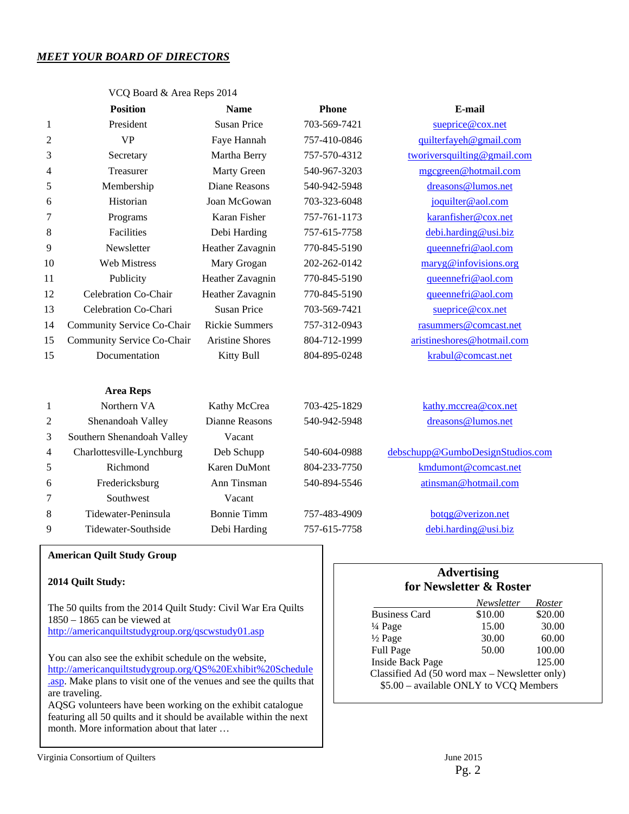## *MEET YOUR BOARD OF DIRECTORS*

|                | <b>Position</b>            | <b>Name</b>           | <b>Phone</b> | E-mail                           |
|----------------|----------------------------|-----------------------|--------------|----------------------------------|
| $\mathbf{1}$   | President                  | <b>Susan Price</b>    | 703-569-7421 | sueprice@cox.net                 |
| $\overline{2}$ | <b>VP</b>                  | Faye Hannah           | 757-410-0846 | quilterfayeh@gmail.com           |
| 3              | Secretary                  | Martha Berry          | 757-570-4312 | tworiversquilting@gmail.com      |
| 4              | Treasurer                  | Marty Green           | 540-967-3203 | mgcgreen@hotmail.com             |
| 5              | Membership                 | <b>Diane Reasons</b>  | 540-942-5948 | dreasons@lumos.net               |
| 6              | Historian                  | Joan McGowan          | 703-323-6048 | joquilter@aol.com                |
| 7              | Programs                   | Karan Fisher          | 757-761-1173 | karanfisher@cox.net              |
| 8              | Facilities                 | Debi Harding          | 757-615-7758 | debi.harding@usi.biz             |
| 9              | Newsletter                 | Heather Zavagnin      | 770-845-5190 | queennefri@aol.com               |
| 10             | <b>Web Mistress</b>        | Mary Grogan           | 202-262-0142 | maryg@infovisions.org            |
| 11             | Publicity                  | Heather Zavagnin      | 770-845-5190 | queennefri@aol.com               |
| 12             | Celebration Co-Chair       | Heather Zavagnin      | 770-845-5190 | queennefri@aol.com               |
| 13             | Celebration Co-Chari       | <b>Susan Price</b>    | 703-569-7421 | sueprice@cox.net                 |
| 14             | Community Service Co-Chair | <b>Rickie Summers</b> | 757-312-0943 | rasummers@comcast.net            |
| 15             | Community Service Co-Chair | Aristine Shores       | 804-712-1999 | aristineshores@hotmail.com       |
| 15             | Documentation              | Kitty Bull            | 804-895-0248 | krabul@comcast.net               |
|                | <b>Area Reps</b>           |                       |              |                                  |
| $\mathbf{1}$   | Northern VA                | Kathy McCrea          | 703-425-1829 | kathy.mccrea@cox.net             |
| 2              | Shenandoah Valley          | Dianne Reasons        | 540-942-5948 | dreasons@lumos.net               |
| 3              | Southern Shenandoah Valley | Vacant                |              |                                  |
| 4              | Charlottesville-Lynchburg  | Deb Schupp            | 540-604-0988 | debschupp@GumboDesignStudios.com |
| 5              | Richmond                   | Karen DuMont          | 804-233-7750 | kmdumont@comcast.net             |

6 Fredericksburg Ann Tinsman 540-894-5546 atinsman@hotmail.com

8 Tidewater-Peninsula Bonnie Timm 757-483-4909 botqg@verizon.net 9 Tidewater-Southside Debi Harding 757-615-7758 debi.harding@usi.biz

VCQ Board & Area Reps 2014

#### **American Quilt Study Group**

7 Southwest Vacant

#### **2014 Quilt Study:**

The 50 quilts from the 2014 Quilt Study: Civil War Era Quilts 1850 – 1865 can be viewed at http://americanquiltstudygroup.org/qscwstudy01.asp

You can also see the exhibit schedule on the website, http://americanquiltstudygroup.org/QS%20Exhibit%20Schedule .asp. Make plans to visit one of the venues and see the quilts that are traveling.

AQSG volunteers have been working on the exhibit catalogue featuring all 50 quilts and it should be available within the next month. More information about that later …

## **Advertising for Newsletter & Roster**

|                                               | Newsletter | <i>Roster</i> |  |  |
|-----------------------------------------------|------------|---------------|--|--|
| <b>Business Card</b>                          | \$10.00    | \$20.00       |  |  |
| $\frac{1}{4}$ Page                            | 15.00      | 30.00         |  |  |
| $\frac{1}{2}$ Page                            | 30.00      | 60.00         |  |  |
| Full Page                                     | 50.00      | 100.00        |  |  |
| <b>Inside Back Page</b>                       |            | 125.00        |  |  |
| Classified Ad (50 word max – Newsletter only) |            |               |  |  |
| \$5.00 - available ONLY to VCQ Members        |            |               |  |  |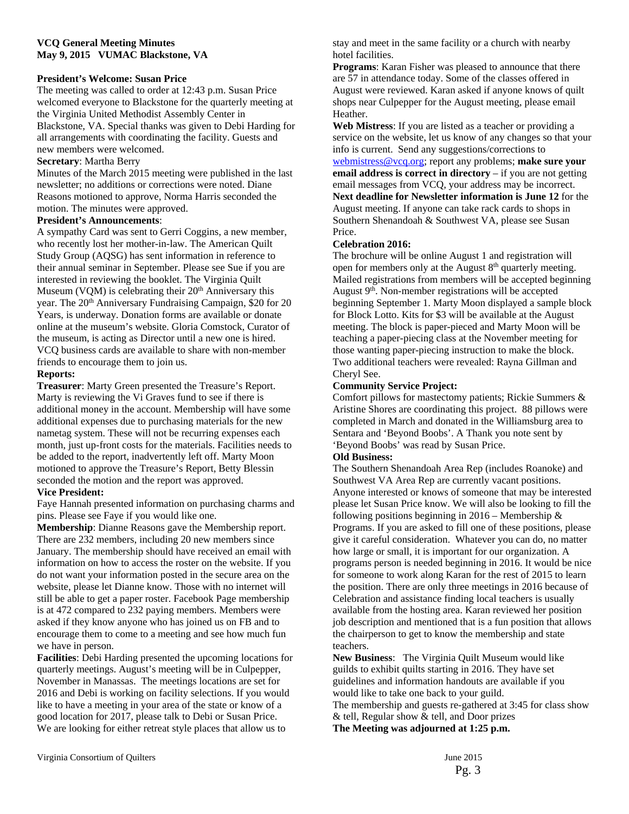#### **VCQ General Meeting Minutes May 9, 2015 VUMAC Blackstone, VA**

#### **President's Welcome: Susan Price**

The meeting was called to order at 12:43 p.m. Susan Price welcomed everyone to Blackstone for the quarterly meeting at the Virginia United Methodist Assembly Center in Blackstone, VA. Special thanks was given to Debi Harding for all arrangements with coordinating the facility. Guests and new members were welcomed.

#### **Secretary**: Martha Berry

Minutes of the March 2015 meeting were published in the last newsletter; no additions or corrections were noted. Diane Reasons motioned to approve, Norma Harris seconded the motion. The minutes were approved.

#### **President's Announcements**:

A sympathy Card was sent to Gerri Coggins, a new member, who recently lost her mother-in-law. The American Quilt Study Group (AQSG) has sent information in reference to their annual seminar in September. Please see Sue if you are interested in reviewing the booklet. The Virginia Quilt Museum (VQM) is celebrating their  $20<sup>th</sup>$  Anniversary this year. The 20<sup>th</sup> Anniversary Fundraising Campaign, \$20 for 20 Years, is underway. Donation forms are available or donate online at the museum's website. Gloria Comstock, Curator of the museum, is acting as Director until a new one is hired. VCQ business cards are available to share with non-member friends to encourage them to join us.

#### **Reports:**

**Treasurer**: Marty Green presented the Treasure's Report. Marty is reviewing the Vi Graves fund to see if there is additional money in the account. Membership will have some additional expenses due to purchasing materials for the new nametag system. These will not be recurring expenses each month, just up-front costs for the materials. Facilities needs to be added to the report, inadvertently left off. Marty Moon motioned to approve the Treasure's Report, Betty Blessin seconded the motion and the report was approved.

#### **Vice President:**

Faye Hannah presented information on purchasing charms and pins. Please see Faye if you would like one.

**Membership**: Dianne Reasons gave the Membership report. There are 232 members, including 20 new members since January. The membership should have received an email with information on how to access the roster on the website. If you do not want your information posted in the secure area on the website, please let Dianne know. Those with no internet will still be able to get a paper roster. Facebook Page membership is at 472 compared to 232 paying members. Members were asked if they know anyone who has joined us on FB and to encourage them to come to a meeting and see how much fun we have in person.

**Facilities**: Debi Harding presented the upcoming locations for quarterly meetings. August's meeting will be in Culpepper, November in Manassas. The meetings locations are set for 2016 and Debi is working on facility selections. If you would like to have a meeting in your area of the state or know of a good location for 2017, please talk to Debi or Susan Price. We are looking for either retreat style places that allow us to

stay and meet in the same facility or a church with nearby hotel facilities.

**Programs**: Karan Fisher was pleased to announce that there are 57 in attendance today. Some of the classes offered in August were reviewed. Karan asked if anyone knows of quilt shops near Culpepper for the August meeting, please email Heather.

**Web Mistress**: If you are listed as a teacher or providing a service on the website, let us know of any changes so that your info is current. Send any suggestions/corrections to webmistress@vcq.org; report any problems; **make sure your** 

**email address is correct in directory** – if you are not getting email messages from VCQ, your address may be incorrect. **Next deadline for Newsletter information is June 12** for the August meeting. If anyone can take rack cards to shops in Southern Shenandoah & Southwest VA, please see Susan Price.

#### **Celebration 2016:**

The brochure will be online August 1 and registration will open for members only at the August 8<sup>th</sup> quarterly meeting. Mailed registrations from members will be accepted beginning August 9<sup>th</sup>. Non-member registrations will be accepted beginning September 1. Marty Moon displayed a sample block for Block Lotto. Kits for \$3 will be available at the August meeting. The block is paper-pieced and Marty Moon will be teaching a paper-piecing class at the November meeting for those wanting paper-piecing instruction to make the block. Two additional teachers were revealed: Rayna Gillman and Cheryl See.

#### **Community Service Project:**

Comfort pillows for mastectomy patients; Rickie Summers & Aristine Shores are coordinating this project. 88 pillows were completed in March and donated in the Williamsburg area to Sentara and 'Beyond Boobs'. A Thank you note sent by 'Beyond Boobs' was read by Susan Price.

#### **Old Business:**

The Southern Shenandoah Area Rep (includes Roanoke) and Southwest VA Area Rep are currently vacant positions. Anyone interested or knows of someone that may be interested please let Susan Price know. We will also be looking to fill the following positions beginning in  $2016$  – Membership  $&$ Programs. If you are asked to fill one of these positions, please give it careful consideration. Whatever you can do, no matter how large or small, it is important for our organization. A programs person is needed beginning in 2016. It would be nice for someone to work along Karan for the rest of 2015 to learn the position. There are only three meetings in 2016 because of Celebration and assistance finding local teachers is usually available from the hosting area. Karan reviewed her position job description and mentioned that is a fun position that allows the chairperson to get to know the membership and state teachers.

**New Business**: The Virginia Quilt Museum would like guilds to exhibit quilts starting in 2016. They have set guidelines and information handouts are available if you would like to take one back to your guild. The membership and guests re-gathered at 3:45 for class show & tell, Regular show & tell, and Door prizes **The Meeting was adjourned at 1:25 p.m.**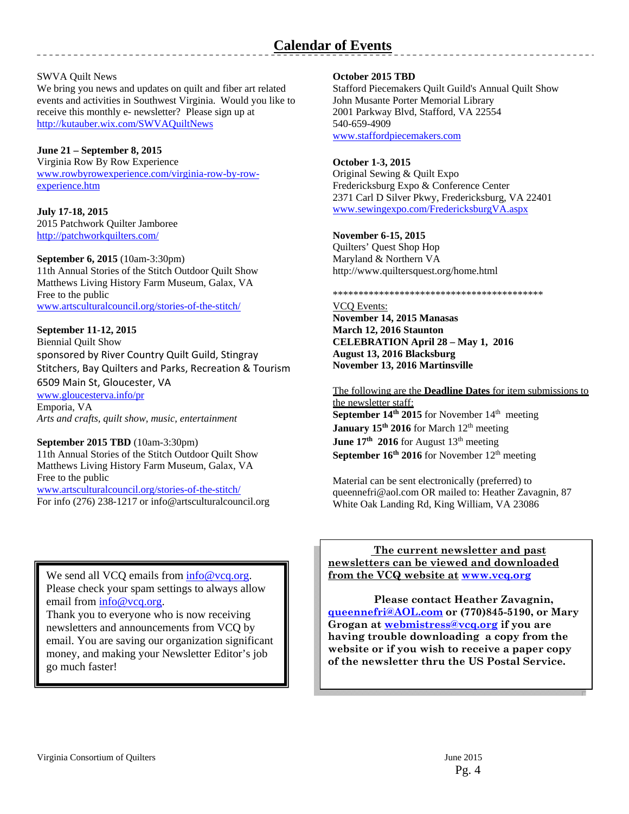#### SWVA Quilt News

We bring you news and updates on quilt and fiber art related events and activities in Southwest Virginia. Would you like to receive this monthly e- newsletter? Please sign up at http://kutauber.wix.com/SWVAQuiltNews

### **June 21 – September 8, 2015**

Virginia Row By Row Experience www.rowbyrowexperience.com/virginia-row-by-rowexperience.htm

#### **July 17-18, 2015**  2015 Patchwork Quilter Jamboree

http://patchworkquilters.com/

#### **September 6, 2015** (10am-3:30pm) 11th Annual Stories of the Stitch Outdoor Quilt Show Matthews Living History Farm Museum, Galax, VA Free to the public

www.artsculturalcouncil.org/stories-of-the-stitch/

### **September 11-12, 2015**

Biennial Quilt Show sponsored by River Country Quilt Guild, Stingray Stitchers, Bay Quilters and Parks, Recreation & Tourism 6509 Main St, Gloucester, VA

www.gloucesterva.info/pr Emporia, VA *Arts and crafts, quilt show, music, entertainment* 

#### **September 2015 TBD** (10am-3:30pm)

11th Annual Stories of the Stitch Outdoor Quilt Show Matthews Living History Farm Museum, Galax, VA Free to the public

www.artsculturalcouncil.org/stories-of-the-stitch/ For info (276) 238-1217 or info@artsculturalcouncil.org

We send all VCQ emails from  $\frac{info@vcq.org}{m}$ . Please check your spam settings to always allow email from info@vcq.org.

Thank you to everyone who is now receiving newsletters and announcements from VCQ by email. You are saving our organization significant money, and making your Newsletter Editor's job go much faster!

#### **October 2015 TBD**

Stafford Piecemakers Quilt Guild's Annual Quilt Show John Musante Porter Memorial Library 2001 Parkway Blvd, Stafford, VA 22554 540-659-4909 www.staffordpiecemakers.com

#### **October 1-3, 2015**

Original Sewing & Quilt Expo Fredericksburg Expo & Conference Center 2371 Carl D Silver Pkwy, Fredericksburg, VA 22401 www.sewingexpo.com/FredericksburgVA.aspx

#### **November 6-15, 2015**

Quilters' Quest Shop Hop Maryland & Northern VA http://www.quiltersquest.org/home.html

\*\*\*\*\*\*\*\*\*\*\*\*\*\*\*\*\*\*\*\*\*\*\*\*\*\*\*\*\*\*\*\*\*\*\*\*\*\*\*\*\*

# VCQ Events:

**November 14, 2015 Manasas March 12, 2016 Staunton CELEBRATION April 28 – May 1, 2016 August 13, 2016 Blacksburg November 13, 2016 Martinsville** 

#### The following are the **Deadline Dates** for item submissions to the newsletter staff:

**September 14th 2015** for November 14th meeting **January 15<sup>th</sup> 2016** for March 12<sup>th</sup> meeting **June 17th 2016** for August 13<sup>th</sup> meeting **September 16<sup>th</sup> 2016** for November 12<sup>th</sup> meeting

Material can be sent electronically (preferred) to queennefri@aol.com OR mailed to: Heather Zavagnin, 87 White Oak Landing Rd, King William, VA 23086

 **The current newsletter and past newsletters can be viewed and downloaded from the VCQ website at www.vcq.org**

 **Please contact Heather Zavagnin, queennefri@AOL.com or (770)845-5190, or Mary Grogan at webmistress@vcq.org if you are having trouble downloading a copy from the website or if you wish to receive a paper copy of the newsletter thru the US Postal Service.**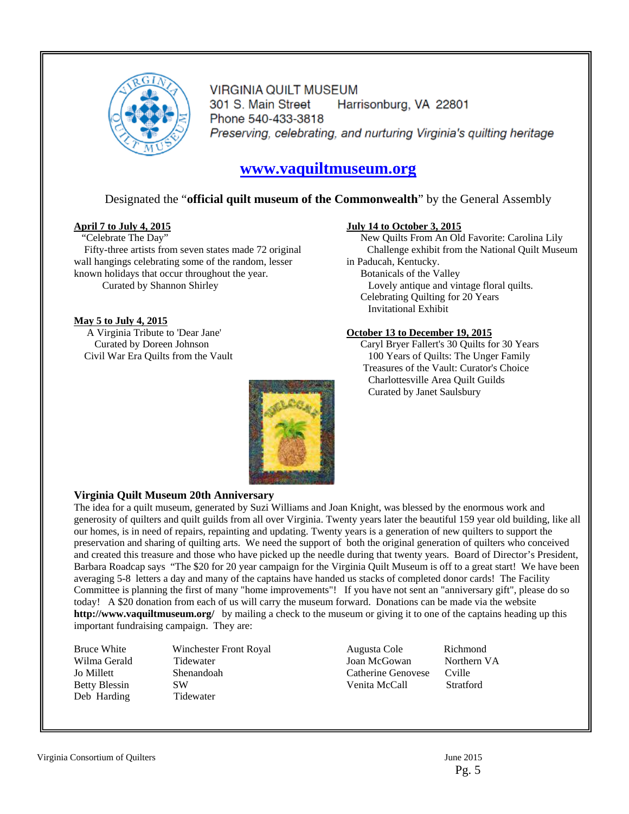

**VIRGINIA QUILT MUSEUM** Harrisonburg, VA 22801 301 S. Main Street Phone 540-433-3818 Preserving, celebrating, and nurturing Virginia's quilting heritage

# **www.vaquiltmuseum.org**

### Designated the "**official quilt museum of the Commonwealth**" by the General Assembly

#### **April 7 to July 4, 2015**

"Celebrate The Day" Fifty-three artists from seven states made 72 original wall hangings celebrating some of the random, lesser known holidays that occur throughout the year. Curated by Shannon Shirley

#### **May 5 to July 4, 2015**

 A Virginia Tribute to 'Dear Jane' Curated by Doreen Johnson Civil War Era Quilts from the Vault

#### **July 14 to October 3, 2015**

New Quilts From An Old Favorite: Carolina Lily Challenge exhibit from the National Quilt Museum in Paducah, Kentucky. Botanicals of the Valley Lovely antique and vintage floral quilts. Celebrating Quilting for 20 Years Invitational Exhibit

#### **October 13 to December 19, 2015**

Caryl Bryer Fallert's 30 Quilts for 30 Years 100 Years of Quilts: The Unger Family Treasures of the Vault: Curator's Choice Charlottesville Area Quilt Guilds Curated by Janet Saulsbury



#### **Virginia Quilt Museum 20th Anniversary**

The idea for a quilt museum, generated by Suzi Williams and Joan Knight, was blessed by the enormous work and generosity of quilters and quilt guilds from all over Virginia. Twenty years later the beautiful 159 year old building, like all our homes, is in need of repairs, repainting and updating. Twenty years is a generation of new quilters to support the preservation and sharing of quilting arts. We need the support of both the original generation of quilters who conceived and created this treasure and those who have picked up the needle during that twenty years. Board of Director's President, Barbara Roadcap says "The \$20 for 20 year campaign for the Virginia Quilt Museum is off to a great start! We have been averaging 5-8 letters a day and many of the captains have handed us stacks of completed donor cards! The Facility Committee is planning the first of many "home improvements"! If you have not sent an "anniversary gift", please do so today! A \$20 donation from each of us will carry the museum forward. Donations can be made via the website **http://www.vaquiltmuseum.org/** by mailing a check to the museum or giving it to one of the captains heading up this important fundraising campaign. They are:

**Winchester Front Royal** Tidewater Shenandoah SW **Tidewater** 

Augusta Cole Richmond Joan McGowan Northern VA Catherine Genovese Cville Venita McCall Stratford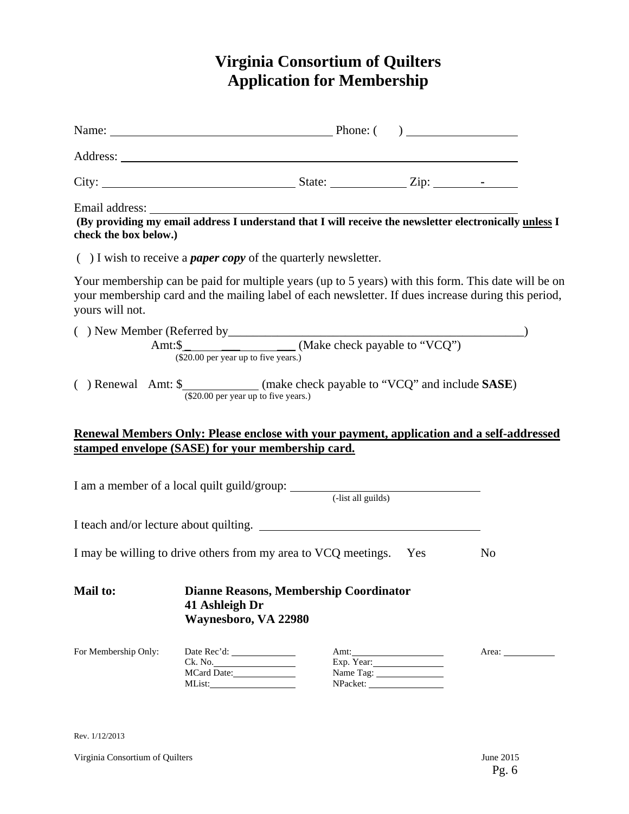# **Virginia Consortium of Quilters Application for Membership**

| Email address: The address of the set of the set of the set of the set of the set of the set of the providing my email address I understand that I will receive the newsletter electronically unless I<br>check the box below.) |                                                                                         |                        |                                                                                                                                                                                                            |
|---------------------------------------------------------------------------------------------------------------------------------------------------------------------------------------------------------------------------------|-----------------------------------------------------------------------------------------|------------------------|------------------------------------------------------------------------------------------------------------------------------------------------------------------------------------------------------------|
| $( )$ I wish to receive a <i>paper copy</i> of the quarterly newsletter.                                                                                                                                                        |                                                                                         |                        |                                                                                                                                                                                                            |
| yours will not.                                                                                                                                                                                                                 |                                                                                         |                        | Your membership can be paid for multiple years (up to 5 years) with this form. This date will be on<br>your membership card and the mailing label of each newsletter. If dues increase during this period, |
|                                                                                                                                                                                                                                 | $(\$20.00$ per year up to five years.)                                                  |                        |                                                                                                                                                                                                            |
| () Renewal Amt: \$_____________(make check payable to "VCQ" and include SASE)                                                                                                                                                   | (\$20.00 per year up to five years.)                                                    |                        |                                                                                                                                                                                                            |
| Renewal Members Only: Please enclose with your payment, application and a self-addressed<br>stamped envelope (SASE) for your membership card.                                                                                   |                                                                                         |                        |                                                                                                                                                                                                            |
| I am a member of a local quilt guild/group: (-list all guilds)                                                                                                                                                                  |                                                                                         |                        |                                                                                                                                                                                                            |
| I teach and/or lecture about quilting.                                                                                                                                                                                          |                                                                                         |                        |                                                                                                                                                                                                            |
| I may be willing to drive others from my area to VCQ meetings. Yes                                                                                                                                                              |                                                                                         |                        | N <sub>0</sub>                                                                                                                                                                                             |
| <b>Mail to:</b>                                                                                                                                                                                                                 | <b>Dianne Reasons, Membership Coordinator</b><br>41 Ashleigh Dr<br>Waynesboro, VA 22980 |                        |                                                                                                                                                                                                            |
| For Membership Only:                                                                                                                                                                                                            | MList:                                                                                  | Exp. Year:<br>NPacket: |                                                                                                                                                                                                            |

Rev. 1/12/2013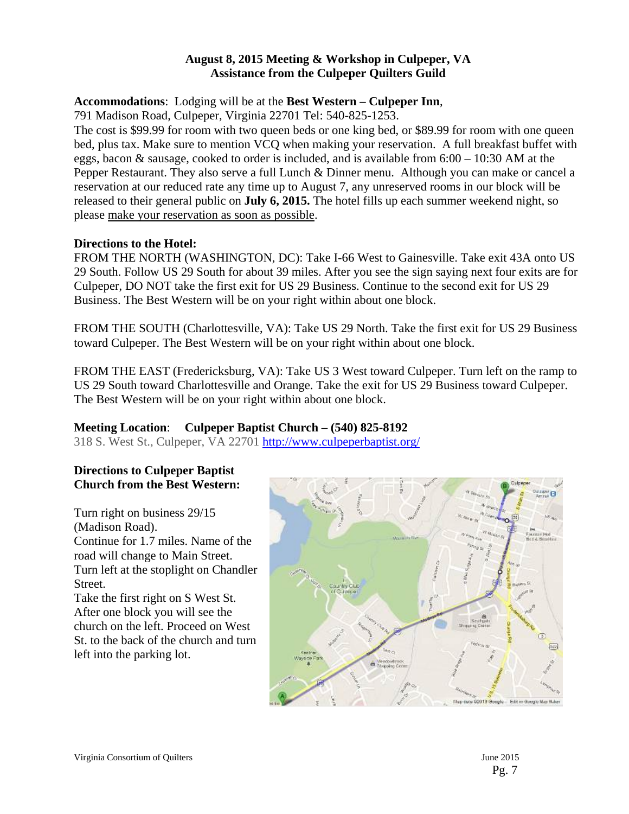# **August 8, 2015 Meeting & Workshop in Culpeper, VA Assistance from the Culpeper Quilters Guild**

# **Accommodations**: Lodging will be at the **Best Western – Culpeper Inn**,

791 Madison Road, Culpeper, Virginia 22701 Tel: 540-825-1253.

The cost is \$99.99 for room with two queen beds or one king bed, or \$89.99 for room with one queen bed, plus tax. Make sure to mention VCQ when making your reservation. A full breakfast buffet with eggs, bacon & sausage, cooked to order is included, and is available from 6:00 – 10:30 AM at the Pepper Restaurant. They also serve a full Lunch & Dinner menu. Although you can make or cancel a reservation at our reduced rate any time up to August 7, any unreserved rooms in our block will be released to their general public on **July 6, 2015.** The hotel fills up each summer weekend night, so please make your reservation as soon as possible.

# **Directions to the Hotel:**

FROM THE NORTH (WASHINGTON, DC): Take I-66 West to Gainesville. Take exit 43A onto US 29 South. Follow US 29 South for about 39 miles. After you see the sign saying next four exits are for Culpeper, DO NOT take the first exit for US 29 Business. Continue to the second exit for US 29 Business. The Best Western will be on your right within about one block.

FROM THE SOUTH (Charlottesville, VA): Take US 29 North. Take the first exit for US 29 Business toward Culpeper. The Best Western will be on your right within about one block.

FROM THE EAST (Fredericksburg, VA): Take US 3 West toward Culpeper. Turn left on the ramp to US 29 South toward Charlottesville and Orange. Take the exit for US 29 Business toward Culpeper. The Best Western will be on your right within about one block.

# **Meeting Location**: **Culpeper Baptist Church – (540) 825-8192**

318 S. West St., Culpeper, VA 22701 http://www.culpeperbaptist.org/

# **Directions to Culpeper Baptist Church from the Best Western:**

Turn right on business 29/15 (Madison Road). Continue for 1.7 miles. Name of the road will change to Main Street. Turn left at the stoplight on Chandler Street. Take the first right on S West St. After one block you will see the church on the left. Proceed on West

St. to the back of the church and turn



left into the parking lot.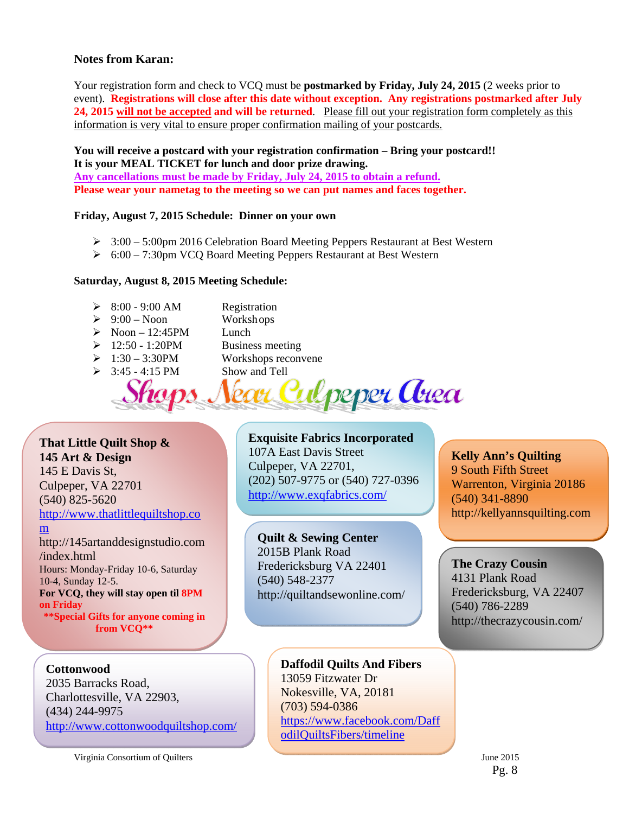## **Notes from Karan:**

Your registration form and check to VCQ must be **postmarked by Friday, July 24, 2015** (2 weeks prior to event). **Registrations will close after this date without exception. Any registrations postmarked after July 24, 2015 will not be accepted and will be returned**. Please fill out your registration form completely as this information is very vital to ensure proper confirmation mailing of your postcards.

**You will receive a postcard with your registration confirmation – Bring your postcard!! It is your MEAL TICKET for lunch and door prize drawing. Any cancellations must be made by Friday, July 24, 2015 to obtain a refund. Please wear your nametag to the meeting so we can put names and faces together.** 

#### **Friday, August 7, 2015 Schedule: Dinner on your own**

- $\geq 3:00-5:00$ pm 2016 Celebration Board Meeting Peppers Restaurant at Best Western
- 6:00 7:30pm VCQ Board Meeting Peppers Restaurant at Best Western

#### **Saturday, August 8, 2015 Meeting Schedule:**

- $\geq 8:00 9:00$  AM Registration
- $\geq 9:00$  Noon Workshops
- $\triangleright$  Noon 12:45PM Lunch
- 
- 
- 
- $\geq 12:50 1:20PM$  Business meeting<br> $\geq 1:30 3:30PM$  Workshops reconv Workshops reconvene
- $\geq$  3:45 4:15 PM Show and Tell peper Area

# **That Little Quilt Shop & 145 Art & Design**

145 E Davis St, Culpeper, VA 22701 (540) 825-5620

http://www.thatlittlequiltshop.co

#### m

http://145artanddesignstudio.com /index.html Hours: Monday-Friday 10-6, Saturday 10-4, Sunday 12-5. **For VCQ, they will stay open til 8PM on Friday \*\*Special Gifts for anyone coming in from VCQ\*\*** 

## **Cottonwood**

2035 Barracks Road, Charlottesville, VA 22903, (434) 244-9975 http://www.cottonwoodquiltshop.com/

# **Exquisite Fabrics Incorporated**

107A East Davis Street Culpeper, VA 22701, (202) 507-9775 or (540) 727-0396 http://www.exqfabrics.com/

#### **Quilt & Sewing Center**  2015B Plank Road

Fredericksburg VA 22401 (540) 548-2377 http://quiltandsewonline.com/

# **Kelly Ann's Quilting**  9 South Fifth Street Warrenton, Virginia 20186 (540) 341-8890 http://kellyannsquilting.com

**The Crazy Cousin**  4131 Plank Road Fredericksburg, VA 22407 (540) 786-2289 http://thecrazycousin.com/

Virginia Consortium of Quilters June 2015

# **Daffodil Quilts And Fibers**  13059 Fitzwater Dr

Nokesville, VA, 20181 (703) 594-0386 https://www.facebook.com/Daff odilQuiltsFibers/timeline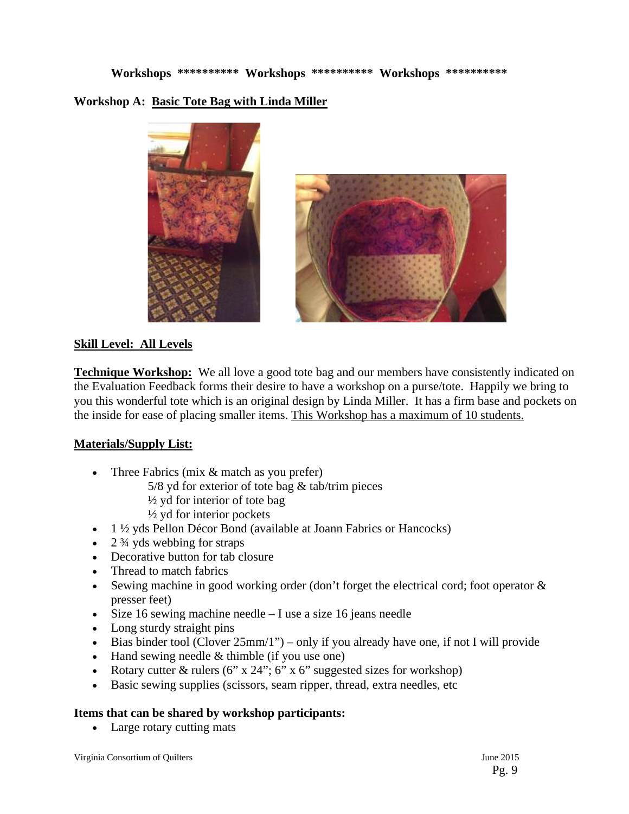**Workshops \*\*\*\*\*\*\*\*\*\* Workshops \*\*\*\*\*\*\*\*\*\* Workshops \*\*\*\*\*\*\*\*\*\* Workshop A: Basic Tote Bag with Linda Miller** 



# **Skill Level: All Levels**

**Technique Workshop:** We all love a good tote bag and our members have consistently indicated on the Evaluation Feedback forms their desire to have a workshop on a purse/tote. Happily we bring to you this wonderful tote which is an original design by Linda Miller. It has a firm base and pockets on the inside for ease of placing smaller items. This Workshop has a maximum of 10 students.

# **Materials/Supply List:**

- Three Fabrics (mix  $&$  match as you prefer)
	- $5/8$  yd for exterior of tote bag  $&$  tab/trim pieces
	- $\frac{1}{2}$  yd for interior of tote bag
	- $\frac{1}{2}$  yd for interior pockets
- $\bullet$  1 ½ yds Pellon Décor Bond (available at Joann Fabrics or Hancocks)
- $\cdot$  2  $\frac{3}{4}$  yds webbing for straps
- Decorative button for tab closure
- Thread to match fabrics
- Sewing machine in good working order (don't forget the electrical cord; foot operator & presser feet)
- $\bullet$  Size 16 sewing machine needle I use a size 16 jeans needle
- Long sturdy straight pins
- Bias binder tool (Clover  $25 \text{mm}/1$ ") only if you already have one, if not I will provide
- $\bullet$  Hand sewing needle & thimble (if you use one)
- Rotary cutter  $\&$  rulers (6" x 24"; 6" x 6" suggested sizes for workshop)
- Basic sewing supplies (scissors, seam ripper, thread, extra needles, etc

# **Items that can be shared by workshop participants:**

• Large rotary cutting mats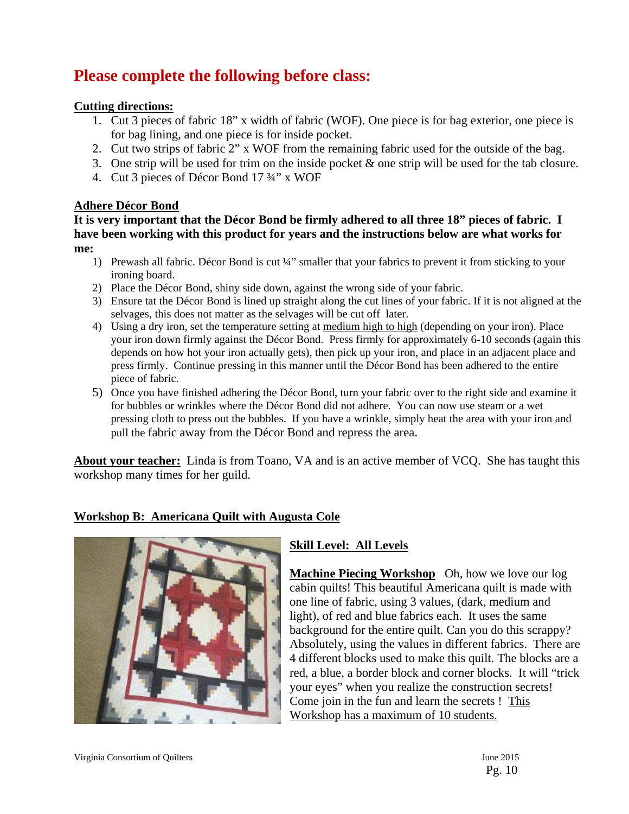# **Please complete the following before class:**

# **Cutting directions:**

- 1. Cut 3 pieces of fabric 18" x width of fabric (WOF). One piece is for bag exterior, one piece is for bag lining, and one piece is for inside pocket.
- 2. Cut two strips of fabric 2" x WOF from the remaining fabric used for the outside of the bag.
- 3. One strip will be used for trim on the inside pocket & one strip will be used for the tab closure.
- 4. Cut 3 pieces of Décor Bond 17 ¾" x WOF

## **Adhere Décor Bond**

**It is very important that the Décor Bond be firmly adhered to all three 18" pieces of fabric. I have been working with this product for years and the instructions below are what works for me:**

- 1) Prewash all fabric. Décor Bond is cut ¼" smaller that your fabrics to prevent it from sticking to your ironing board.
- 2) Place the Décor Bond, shiny side down, against the wrong side of your fabric.
- 3) Ensure tat the Décor Bond is lined up straight along the cut lines of your fabric. If it is not aligned at the selvages, this does not matter as the selvages will be cut off later.
- 4) Using a dry iron, set the temperature setting at medium high to high (depending on your iron). Place your iron down firmly against the Décor Bond. Press firmly for approximately 6-10 seconds (again this depends on how hot your iron actually gets), then pick up your iron, and place in an adjacent place and press firmly. Continue pressing in this manner until the Décor Bond has been adhered to the entire piece of fabric.
- 5) Once you have finished adhering the Décor Bond, turn your fabric over to the right side and examine it for bubbles or wrinkles where the Décor Bond did not adhere. You can now use steam or a wet pressing cloth to press out the bubbles. If you have a wrinkle, simply heat the area with your iron and pull the fabric away from the Décor Bond and repress the area.

**About your teacher:** Linda is from Toano, VA and is an active member of VCQ. She has taught this workshop many times for her guild.

# **Workshop B: Americana Quilt with Augusta Cole**



# **Skill Level: All Levels**

**Machine Piecing Workshop** Oh, how we love our log cabin quilts! This beautiful Americana quilt is made with one line of fabric, using 3 values, (dark, medium and light), of red and blue fabrics each. It uses the same background for the entire quilt. Can you do this scrappy? Absolutely, using the values in different fabrics. There are 4 different blocks used to make this quilt. The blocks are a red, a blue, a border block and corner blocks. It will "trick your eyes" when you realize the construction secrets! Come join in the fun and learn the secrets ! This Workshop has a maximum of 10 students.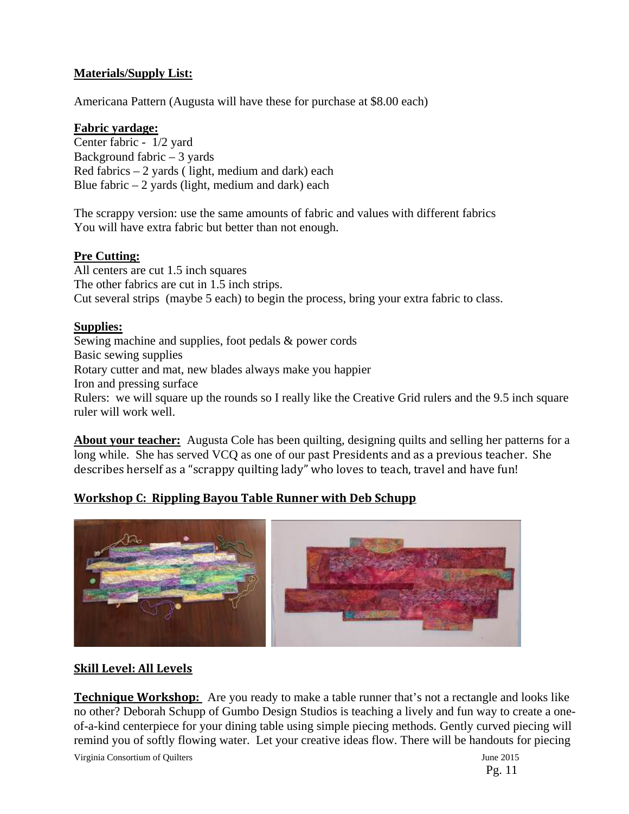# **Materials/Supply List:**

Americana Pattern (Augusta will have these for purchase at \$8.00 each)

## **Fabric yardage:**

Center fabric - 1/2 yard Background fabric – 3 yards Red fabrics  $-2$  yards ( light, medium and dark) each Blue fabric  $-2$  yards (light, medium and dark) each

The scrappy version: use the same amounts of fabric and values with different fabrics You will have extra fabric but better than not enough.

# **Pre Cutting:**

All centers are cut 1.5 inch squares The other fabrics are cut in 1.5 inch strips. Cut several strips (maybe 5 each) to begin the process, bring your extra fabric to class.

# **Supplies:**

Sewing machine and supplies, foot pedals & power cords Basic sewing supplies Rotary cutter and mat, new blades always make you happier Iron and pressing surface Rulers: we will square up the rounds so I really like the Creative Grid rulers and the 9.5 inch square ruler will work well.

**About your teacher:** Augusta Cole has been quilting, designing quilts and selling her patterns for a long while. She has served VCQ as one of our past Presidents and as a previous teacher. She describes herself as a "scrappy quilting lady" who loves to teach, travel and have fun!

# **Workshop C: Rippling Bayou Table Runner with Deb Schupp**



# **Skill Level: All Levels**

**Technique Workshop:** Are you ready to make a table runner that's not a rectangle and looks like no other? Deborah Schupp of Gumbo Design Studios is teaching a lively and fun way to create a oneof-a-kind centerpiece for your dining table using simple piecing methods. Gently curved piecing will remind you of softly flowing water. Let your creative ideas flow. There will be handouts for piecing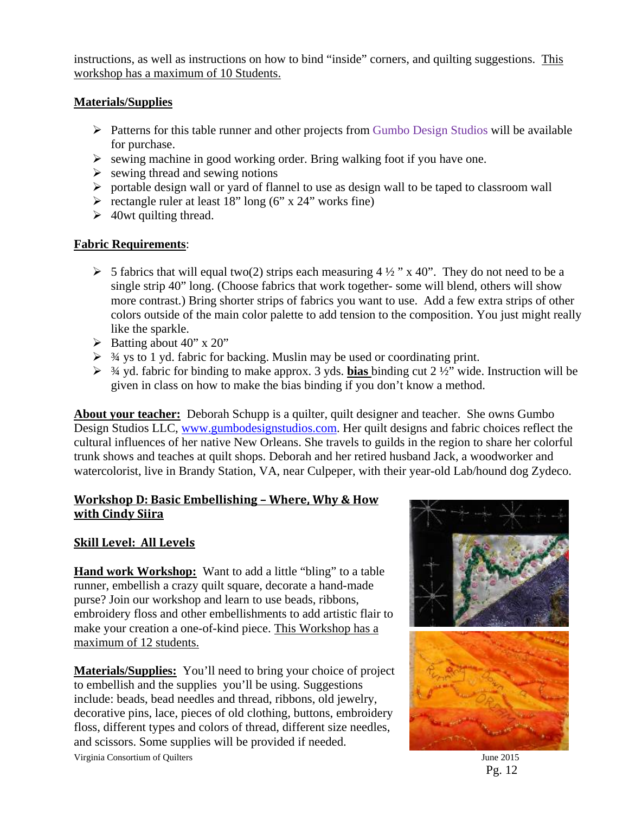instructions, as well as instructions on how to bind "inside" corners, and quilting suggestions. This workshop has a maximum of 10 Students.

# **Materials/Supplies**

- $\triangleright$  Patterns for this table runner and other projects from Gumbo Design Studios will be available for purchase.
- $\triangleright$  sewing machine in good working order. Bring walking foot if you have one.
- $\triangleright$  sewing thread and sewing notions
- portable design wall or yard of flannel to use as design wall to be taped to classroom wall
- rectangle ruler at least 18" long (6" x 24" works fine)
- $\geq 40$  wt quilting thread.

# **Fabric Requirements**:

- $\triangleright$  5 fabrics that will equal two(2) strips each measuring 4 ½ " x 40". They do not need to be a single strip 40" long. (Choose fabrics that work together- some will blend, others will show more contrast.) Bring shorter strips of fabrics you want to use. Add a few extra strips of other colors outside of the main color palette to add tension to the composition. You just might really like the sparkle.
- $\triangleright$  Batting about 40" x 20"
- $\geq$  3/4 ys to 1 yd. fabric for backing. Muslin may be used or coordinating print.
- ¾ yd. fabric for binding to make approx. 3 yds. **bias** binding cut 2 ½" wide. Instruction will be given in class on how to make the bias binding if you don't know a method.

**About your teacher:** Deborah Schupp is a quilter, quilt designer and teacher. She owns Gumbo Design Studios LLC, www.gumbodesignstudios.com. Her quilt designs and fabric choices reflect the cultural influences of her native New Orleans. She travels to guilds in the region to share her colorful trunk shows and teaches at quilt shops. Deborah and her retired husband Jack, a woodworker and watercolorist, live in Brandy Station, VA, near Culpeper, with their year-old Lab/hound dog Zydeco.

# **Workshop D: Basic Embellishing – Where, Why & How with Cindy Siira**

# **Skill Level: All Levels**

**Hand work Workshop:** Want to add a little "bling" to a table runner, embellish a crazy quilt square, decorate a hand-made purse? Join our workshop and learn to use beads, ribbons, embroidery floss and other embellishments to add artistic flair to make your creation a one-of-kind piece. This Workshop has a maximum of 12 students.

**Materials/Supplies:** You'll need to bring your choice of project to embellish and the supplies you'll be using. Suggestions include: beads, bead needles and thread, ribbons, old jewelry, decorative pins, lace, pieces of old clothing, buttons, embroidery floss, different types and colors of thread, different size needles, and scissors. Some supplies will be provided if needed.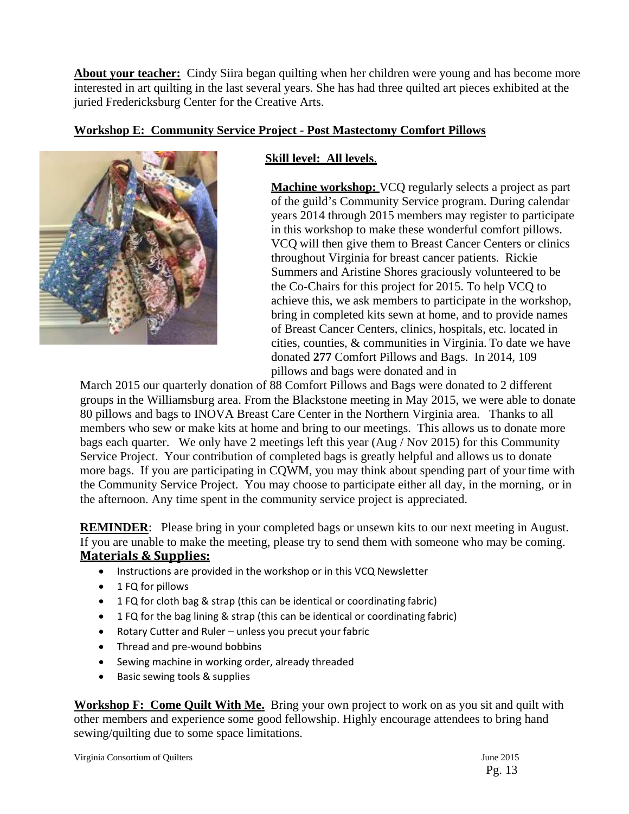**About your teacher:** Cindy Siira began quilting when her children were young and has become more interested in art quilting in the last several years. She has had three quilted art pieces exhibited at the juried Fredericksburg Center for the Creative Arts.

# **Workshop E: Community Service Project - Post Mastectomy Comfort Pillows**



# **Skill level: All levels**.

**Machine workshop:** VCQ regularly selects a project as part of the guild's Community Service program. During calendar years 2014 through 2015 members may register to participate in this workshop to make these wonderful comfort pillows. VCQ will then give them to Breast Cancer Centers or clinics throughout Virginia for breast cancer patients. Rickie Summers and Aristine Shores graciously volunteered to be the Co-Chairs for this project for 2015. To help VCQ to achieve this, we ask members to participate in the workshop, bring in completed kits sewn at home, and to provide names of Breast Cancer Centers, clinics, hospitals, etc. located in cities, counties, & communities in Virginia. To date we have donated **277** Comfort Pillows and Bags. In 2014, 109 pillows and bags were donated and in

March 2015 our quarterly donation of 88 Comfort Pillows and Bags were donated to 2 different groups in the Williamsburg area. From the Blackstone meeting in May 2015, we were able to donate 80 pillows and bags to INOVA Breast Care Center in the Northern Virginia area. Thanks to all members who sew or make kits at home and bring to our meetings. This allows us to donate more bags each quarter. We only have 2 meetings left this year (Aug / Nov 2015) for this Community Service Project. Your contribution of completed bags is greatly helpful and allows us to donate more bags. If you are participating in CQWM, you may think about spending part of your time with the Community Service Project. You may choose to participate either all day, in the morning, or in the afternoon. Any time spent in the community service project is appreciated.

**REMINDER:** Please bring in your completed bags or unsewn kits to our next meeting in August. If you are unable to make the meeting, please try to send them with someone who may be coming. **Materials & Supplies:**

- Instructions are provided in the workshop or in this VCQ Newsletter
- 1 FQ for pillows
- 1 FQ for cloth bag & strap (this can be identical or coordinating fabric)
- 1 FQ for the bag lining & strap (this can be identical or coordinating fabric)
- Rotary Cutter and Ruler unless you precut your fabric
- Thread and pre-wound bobbins
- Sewing machine in working order, already threaded
- Basic sewing tools & supplies

**Workshop F: Come Quilt With Me.** Bring your own project to work on as you sit and quilt with other members and experience some good fellowship. Highly encourage attendees to bring hand sewing/quilting due to some space limitations.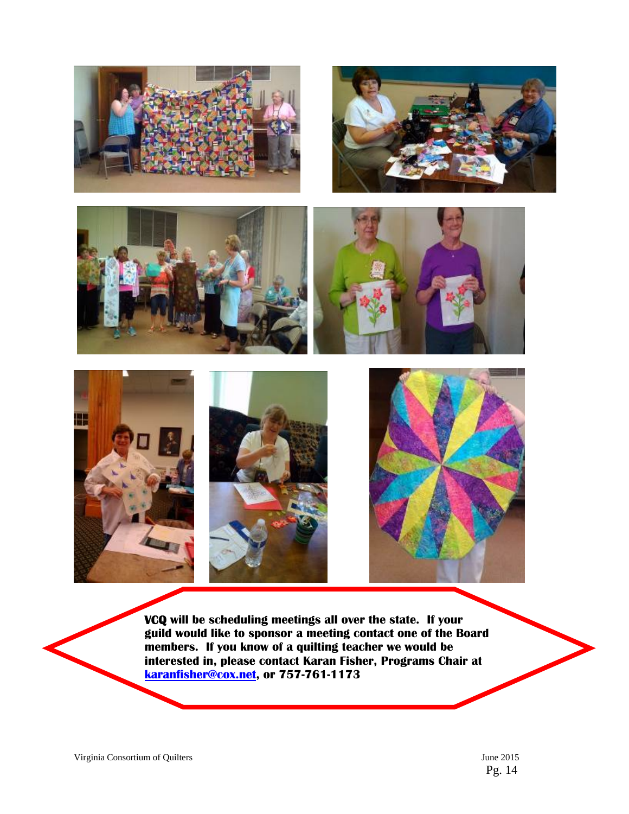













 **a interested in, please contact Karan Fisher, Programs Chair at VCQ will be scheduling meetings all over the state. If your guild would like to sponsor a meeting contact one of the Board members. If you know of a quilting teacher we would be karanfisher@cox.net, or 757-761-1173** 

Pg. 14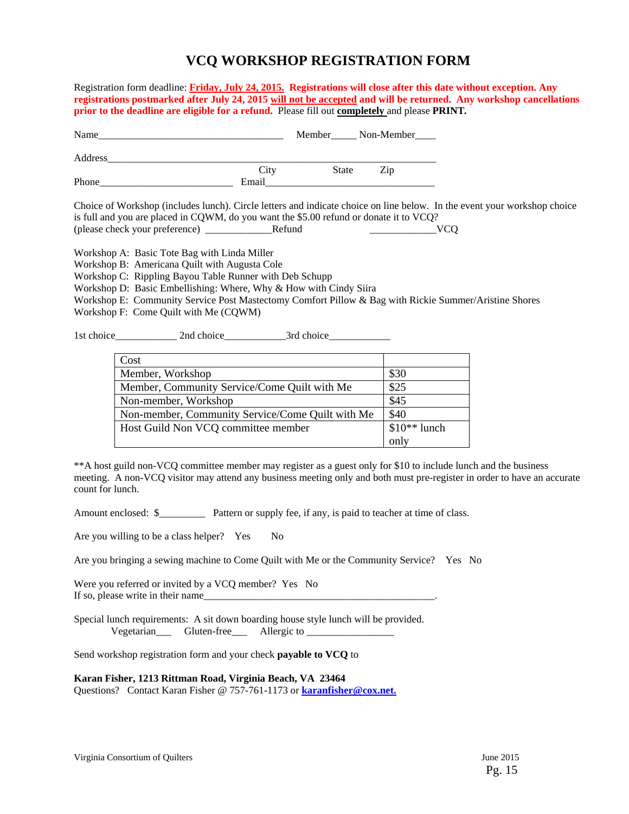# **VCQ WORKSHOP REGISTRATION FORM**

Registration form deadline: **Friday, July 24, 2015.****Registrations will close after this date without exception. Any registrations postmarked after July 24, 2015 will not be accepted and will be returned. Any workshop cancellations prior to the deadline are eligible for a refund.** Please fill out **completely** and please **PRINT***.* 

| Name    |       |       | Member<br><u> Mon-Member</u> |
|---------|-------|-------|------------------------------|
| Address |       |       |                              |
|         | City  | State | Zip                          |
| Phone   | Email |       |                              |

Choice of Workshop (includes lunch). Circle letters and indicate choice on line below. In the event your workshop choice is full and you are placed in CQWM, do you want the \$5.00 refund or donate it to VCQ? (please check your preference) \_\_\_\_\_\_\_\_\_\_\_\_\_Refund \_\_\_\_\_\_\_\_\_\_\_\_\_VCQ

Workshop A: Basic Tote Bag with Linda Miller

Workshop B: Americana Quilt with Augusta Cole

Workshop C: Rippling Bayou Table Runner with Deb Schupp

Workshop D: Basic Embellishing: Where, Why & How with Cindy Siira

Workshop E: Community Service Post Mastectomy Comfort Pillow & Bag with Rickie Summer/Aristine Shores Workshop F: Come Quilt with Me (CQWM)

1st choice 2nd choice 3rd choice

| Cost                                             |               |
|--------------------------------------------------|---------------|
| Member, Workshop                                 | \$30          |
| Member, Community Service/Come Quilt with Me     | \$25          |
| Non-member, Workshop                             | \$45          |
| Non-member, Community Service/Come Quilt with Me | \$40          |
| Host Guild Non VCQ committee member              | $$10**$ lunch |
|                                                  | only          |

\*\*A host guild non-VCQ committee member may register as a guest only for \$10 to include lunch and the business meeting. A non-VCQ visitor may attend any business meeting only and both must pre-register in order to have an accurate count for lunch.

Amount enclosed: \$\_\_\_\_\_\_\_\_\_ Pattern or supply fee, if any, is paid to teacher at time of class.

Are you willing to be a class helper? Yes No

Are you bringing a sewing machine to Come Quilt with Me or the Community Service? Yes No

Were you referred or invited by a VCQ member? Yes No If so, please write in their name

Special lunch requirements: A sit down boarding house style lunch will be provided. Vegetarian\_\_\_ Gluten-free\_\_\_ Allergic to \_\_\_\_\_\_\_\_\_\_\_\_\_\_\_\_\_

Send workshop registration form and your check **payable to VCQ** to

**Karan Fisher, 1213 Rittman Road, Virginia Beach, VA 23464** 

Questions? Contact Karan Fisher @ 757-761-1173 or **karanfisher@cox.net.**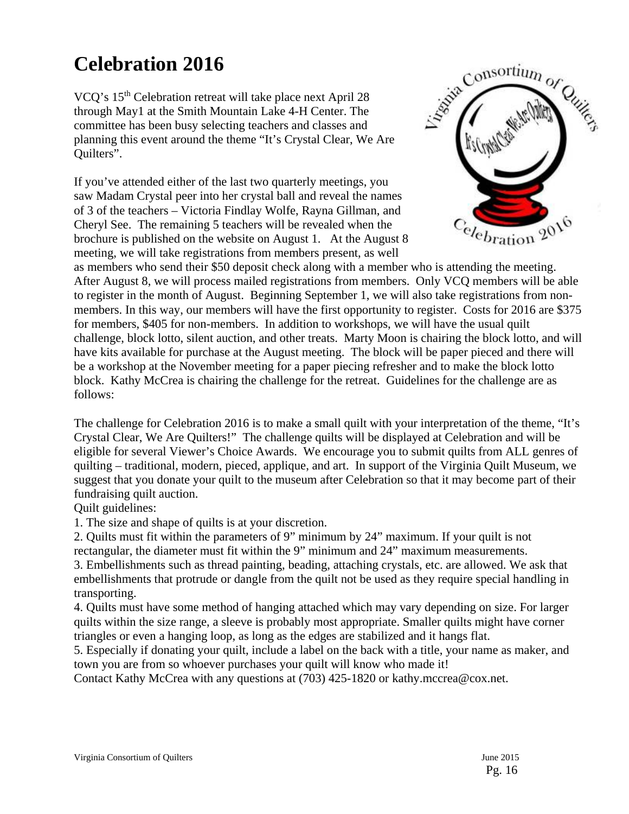# **Celebration 2016**

VCQ's 15th Celebration retreat will take place next April 28 through May1 at the Smith Mountain Lake 4-H Center. The committee has been busy selecting teachers and classes and planning this event around the theme "It's Crystal Clear, We Are Quilters".

If you've attended either of the last two quarterly meetings, you saw Madam Crystal peer into her crystal ball and reveal the names of 3 of the teachers – Victoria Findlay Wolfe, Rayna Gillman, and Cheryl See. The remaining 5 teachers will be revealed when the brochure is published on the website on August 1. At the August 8 meeting, we will take registrations from members present, as well



as members who send their \$50 deposit check along with a member who is attending the meeting. After August 8, we will process mailed registrations from members. Only VCQ members will be able to register in the month of August. Beginning September 1, we will also take registrations from nonmembers. In this way, our members will have the first opportunity to register. Costs for 2016 are \$375 for members, \$405 for non-members. In addition to workshops, we will have the usual quilt challenge, block lotto, silent auction, and other treats. Marty Moon is chairing the block lotto, and will have kits available for purchase at the August meeting. The block will be paper pieced and there will be a workshop at the November meeting for a paper piecing refresher and to make the block lotto block. Kathy McCrea is chairing the challenge for the retreat. Guidelines for the challenge are as follows:

The challenge for Celebration 2016 is to make a small quilt with your interpretation of the theme, "It's Crystal Clear, We Are Quilters!" The challenge quilts will be displayed at Celebration and will be eligible for several Viewer's Choice Awards. We encourage you to submit quilts from ALL genres of quilting – traditional, modern, pieced, applique, and art. In support of the Virginia Quilt Museum, we suggest that you donate your quilt to the museum after Celebration so that it may become part of their fundraising quilt auction.

Quilt guidelines:

1. The size and shape of quilts is at your discretion.

2. Quilts must fit within the parameters of 9" minimum by 24" maximum. If your quilt is not rectangular, the diameter must fit within the 9" minimum and 24" maximum measurements.

3. Embellishments such as thread painting, beading, attaching crystals, etc. are allowed. We ask that embellishments that protrude or dangle from the quilt not be used as they require special handling in transporting.

4. Quilts must have some method of hanging attached which may vary depending on size. For larger quilts within the size range, a sleeve is probably most appropriate. Smaller quilts might have corner triangles or even a hanging loop, as long as the edges are stabilized and it hangs flat.

5. Especially if donating your quilt, include a label on the back with a title, your name as maker, and town you are from so whoever purchases your quilt will know who made it!

Contact Kathy McCrea with any questions at (703) 425-1820 or kathy.mccrea@cox.net.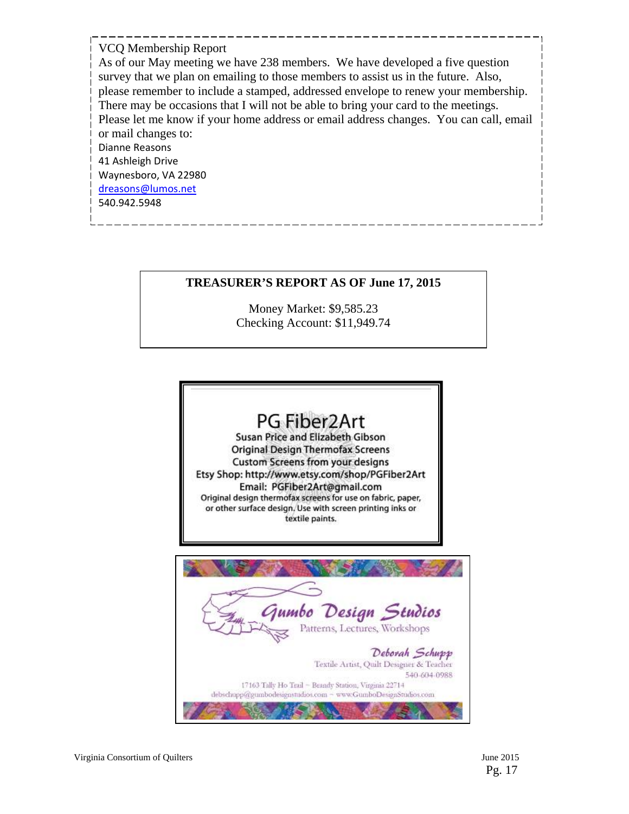### VCQ Membership Report

As of our May meeting we have 238 members. We have developed a five question survey that we plan on emailing to those members to assist us in the future. Also, please remember to include a stamped, addressed envelope to renew your membership. There may be occasions that I will not be able to bring your card to the meetings. Please let me know if your home address or email address changes. You can call, email or mail changes to: Dianne Reasons 41 Ashleigh Drive Waynesboro, VA 22980 dreasons@lumos.net 540.942.5948

## **TREASURER'S REPORT AS OF June 17, 2015**

Money Market: \$9,585.23 Checking Account: \$11,949.74